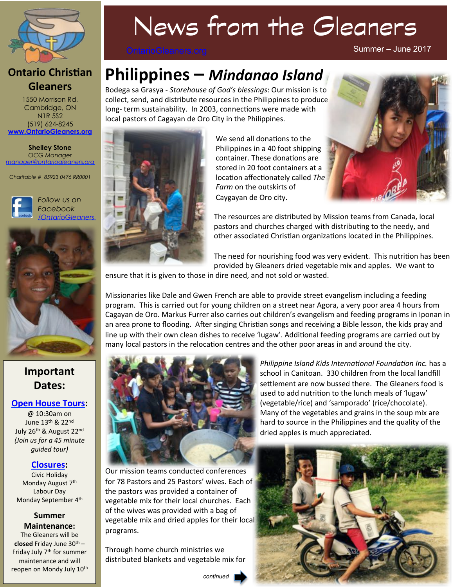

#### **Ontario Christian Gleaners**

1550 Morrison Rd, Cambridge, ON N1R 5S2 (519) 624-8245 **www.OntarioGleaners.org**

**Shelley Stone** *OCG Manager manager@ontariogleaners.org*

*Charitable # 85923 0476 RR0001* 





### **Important Dates:**

#### **Open House Tours:**

@ 10:30am on June 13th & 22nd July 26<sup>th</sup> & August 22<sup>nd</sup> *(Join us for a 45 minute*  guided tour)

#### **Closures:**

**Civic Holiday** Monday August 7<sup>th</sup> Labour Dav Monday September 4<sup>th</sup>

#### **Summer Maintenance:**

The Gleaners will be **closed** Friday June  $30^{th}$  – Friday July 7<sup>th</sup> for summer maintenance and will reopen on Mondy July 10<sup>th</sup>

# News from the Gleaners

OntarioGleaners.org

Summer – June 2017

# **Philippines – Mindanao Island**

Bodega sa Grasya - *Storehouse of God's blessings*: Our mission is to collect, send, and distribute resources in the Philippines to produce long- term sustainability. In 2003, connections were made with local pastors of Cagayan de Oro City in the Philippines.



We send all donations to the Philippines in a 40 foot shipping container. These donations are stored in 20 foot containers at a location affectionately called The *Farm* on the outskirts of Caygayan de Oro city.



The resources are distributed by Mission teams from Canada, local pastors and churches charged with distributing to the needy, and other associated Christian organizations located in the Philippines.

The need for nourishing food was very evident. This nutrition has been provided by Gleaners dried vegetable mix and apples. We want to

ensure that it is given to those in dire need, and not sold or wasted.

Missionaries like Dale and Gwen French are able to provide street evangelism including a feeding program. This is carried out for young children on a street near Agora, a very poor area 4 hours from Cagayan de Oro. Markus Furrer also carries out children's evangelism and feeding programs in Iponan in an area prone to flooding. After singing Christian songs and receiving a Bible lesson, the kids pray and line up with their own clean dishes to receive 'lugaw'. Additional feeding programs are carried out by many local pastors in the relocation centres and the other poor areas in and around the city.



*Philippine Island Kids International Foundation Inc.* has a school in Canitoan. 330 children from the local landfill settlement are now bussed there. The Gleaners food is used to add nutrition to the lunch meals of 'lugaw' (vegetable/rice) and 'samporado' (rice/chocolate). Many of the vegetables and grains in the soup mix are hard to source in the Philippines and the quality of the dried apples is much appreciated.

Our mission teams conducted conferences for 78 Pastors and 25 Pastors' wives. Each of the pastors was provided a container of vegetable mix for their local churches. Each of the wives was provided with a bag of vegetable mix and dried apples for their local programs. 

Through home church ministries we distributed blankets and vegetable mix for

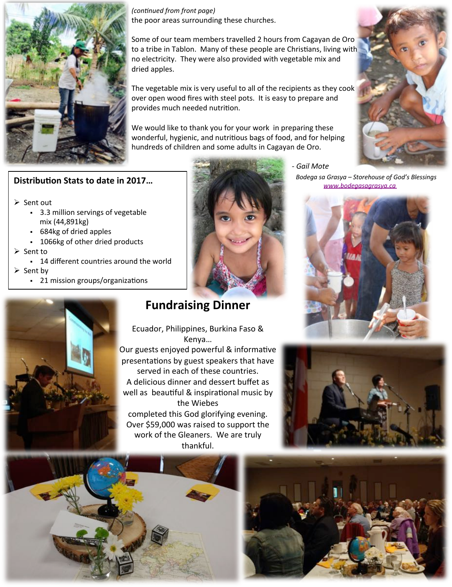

*(continued from front page)* the poor areas surrounding these churches.

Some of our team members travelled 2 hours from Cagayan de Oro to a tribe in Tablon. Many of these people are Christians, living with no electricity. They were also provided with vegetable mix and dried apples.

The vegetable mix is very useful to all of the recipients as they cook over open wood fires with steel pots. It is easy to prepare and provides much needed nutrition.

We would like to thank you for your work in preparing these wonderful, hygienic, and nutritious bags of food, and for helping hundreds of children and some adults in Cagayan de Oro.



#### **Distribution Stats to date in 2017...**

- $\triangleright$  Sent out
	- out<br>• 3.3 million servings of vegetable<br>mix (44,891kg) mix (44,891kg)
	- § 684kg of dried apples
	- 1066kg of other dried products
- $\triangleright$  Sent to
	- 14 different countries around the world

 $\triangleright$  Sent by

• 21 mission groups/organizations



## **Fundraising Dinner**

Ecuador, Philippines, Burkina Faso & Kenya… Our guests enjoyed powerful & informative presentations by guest speakers that have served in each of these countries. A delicious dinner and dessert buffet as well as beautiful & inspirational music by the Wiebes completed this God glorifying evening. Over \$59,000 was raised to support the work of the Gleaners. We are truly thankful. 

- Gail Mote Bodega sa Grasya – Storehouse of God's Blessings www.bodegasagrasya.ca







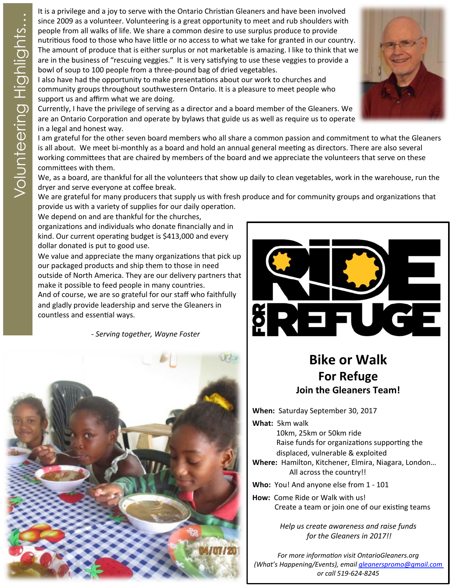The same this a privilege and a joy to serve with the Ontario Christian Gleaners and have been involved<br>since 2009 as a volunteering is a great opportunity to meet and rub shoulders with<br>mentitious food to those who have l since 2009 as a volunteer. Volunteering is a great opportunity to meet and rub shoulders with people from all walks of life. We share a common desire to use surplus produce to provide nutritious food to those who have little or no access to what we take for granted in our country. The amount of produce that is either surplus or not marketable is amazing. I like to think that we are in the business of "rescuing veggies." It is very satisfying to use these veggies to provide a bowl of soup to 100 people from a three-pound bag of dried vegetables.

I also have had the opportunity to make presentations about our work to churches and community groups throughout southwestern Ontario. It is a pleasure to meet people who support us and affirm what we are doing.

Currently, I have the privilege of serving as a director and a board member of the Gleaners. We are an Ontario Corporation and operate by bylaws that guide us as well as require us to operate in a legal and honest way.

I am grateful for the other seven board members who all share a common passion and commitment to what the Gleaners is all about. We meet bi-monthly as a board and hold an annual general meeting as directors. There are also several working committees that are chaired by members of the board and we appreciate the volunteers that serve on these committees with them.

We, as a board, are thankful for all the volunteers that show up daily to clean vegetables, work in the warehouse, run the dryer and serve everyone at coffee break.

We are grateful for many producers that supply us with fresh produce and for community groups and organizations that provide us with a variety of supplies for our daily operation.

We depend on and are thankful for the churches,

organizations and individuals who donate financially and in kind. Our current operating budget is \$413,000 and every dollar donated is put to good use.

We value and appreciate the many organizations that pick up our packaged products and ship them to those in need outside of North America. They are our delivery partners that make it possible to feed people in many countries. And of course, we are so grateful for our staff who faithfully and gladly provide leadership and serve the Gleaners in countless and essential ways.

- Serving together, Wayne Foster





# **Bike or Walk For Refuge Join the Gleaners Team!**

**When:** Saturday September 30, 2017

**What:** 5km walk 10km, 25km or 50km ride Raise funds for organizations supporting the displaced, vulnerable & exploited

**Where:** Hamilton, Kitchener, Elmira, Niagara, London... All across the country!!

**Who:** You! And anyone else from 1 - 101

**How:** Come Ride or Walk with us! Create a team or join one of our existing teams

> *Help* us create awareness and raise funds for the Gleaners in 2017!!

For more information visit OntarioGleaners.org *(What's Happening/Events), email gleanerspromo@gmail.com or call 519-624-8245*